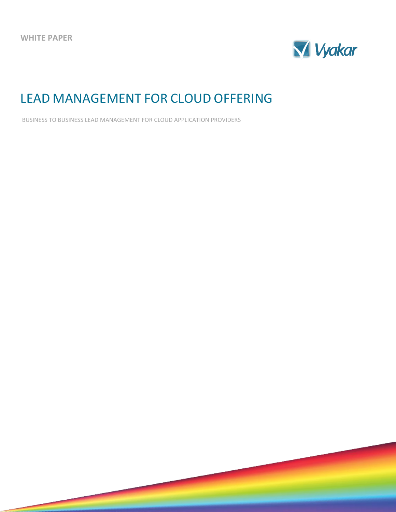

# LEAD MANAGEMENT FOR CLOUD OFFERING

BUSINESS TO BUSINESS LEAD MANAGEMENT FOR CLOUD APPLICATION PROVIDERS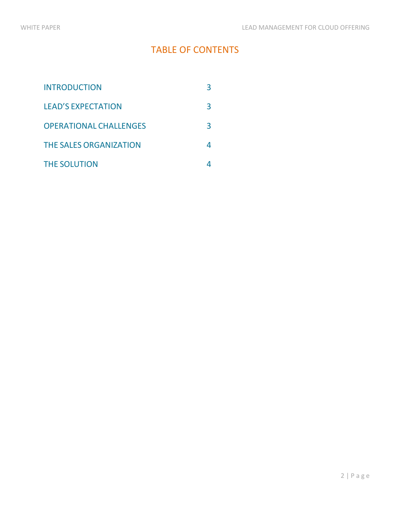## TABLE OF CONTENTS

| <b>INTRODUCTION</b>           |   |
|-------------------------------|---|
| <b>LEAD'S EXPECTATION</b>     | З |
| <b>OPERATIONAL CHALLENGES</b> | З |
| <b>THE SALES ORGANIZATION</b> | Д |
| <b>THE SOLUTION</b>           |   |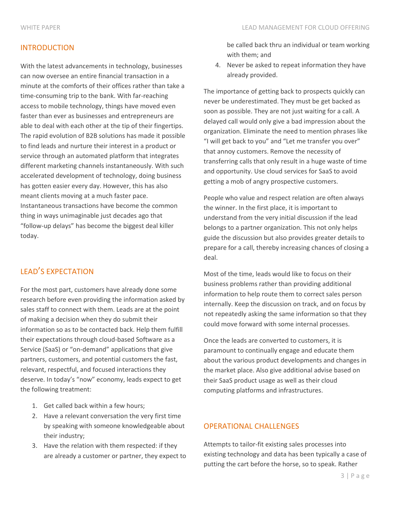#### INTRODUCTION

With the latest advancements in technology, businesses can now oversee an entire financial transaction in a minute at the comforts of their offices rather than take a time-consuming trip to the bank. With far-reaching access to mobile technology, things have moved even faster than ever as businesses and entrepreneurs are able to deal with each other at the tip of their fingertips. The rapid evolution of B2B solutions has made it possible to find leads and nurture their interest in a product or service through an automated platform that integrates different marketing channels instantaneously. With such accelerated development of technology, doing business has gotten easier every day. However, this has also meant clients moving at a much faster pace. Instantaneous transactions have become the common thing in ways unimaginable just decades ago that "follow-up delays" has become the biggest deal killer today.

### LEAD'S EXPECTATION

For the most part, customers have already done some research before even providing the information asked by sales staff to connect with them. Leads are at the point of making a decision when they do submit their information so as to be contacted back. Help them fulfill their expectations through cloud-based Software as a Service (SaaS) or "on-demand" applications that give partners, customers, and potential customers the fast, relevant, respectful, and focused interactions they deserve. In today's "now" economy, leads expect to get the following treatment:

- 1. Get called back within a few hours;
- 2. Have a relevant conversation the very first time by speaking with someone knowledgeable about their industry;
- 3. Have the relation with them respected: if they are already a customer or partner, they expect to

be called back thru an individual or team working with them; and

4. Never be asked to repeat information they have already provided.

The importance of getting back to prospects quickly can never be underestimated. They must be get backed as soon as possible. They are not just waiting for a call. A delayed call would only give a bad impression about the organization. Eliminate the need to mention phrases like "I will get back to you" and "Let me transfer you over" that annoy customers. Remove the necessity of transferring calls that only result in a huge waste of time and opportunity. Use cloud services for SaaS to avoid getting a mob of angry prospective customers.

People who value and respect relation are often always the winner. In the first place, it is important to understand from the very initial discussion if the lead belongs to a partner organization. This not only helps guide the discussion but also provides greater details to prepare for a call, thereby increasing chances of closing a deal.

Most of the time, leads would like to focus on their business problems rather than providing additional information to help route them to correct sales person internally. Keep the discussion on track, and on focus by not repeatedly asking the same information so that they could move forward with some internal processes.

Once the leads are converted to customers, it is paramount to continually engage and educate them about the various product developments and changes in the market place. Also give additional advise based on their SaaS product usage as well as their cloud computing platforms and infrastructures.

#### OPERATIONAL CHALLENGES

Attempts to tailor-fit existing sales processes into existing technology and data has been typically a case of putting the cart before the horse, so to speak. Rather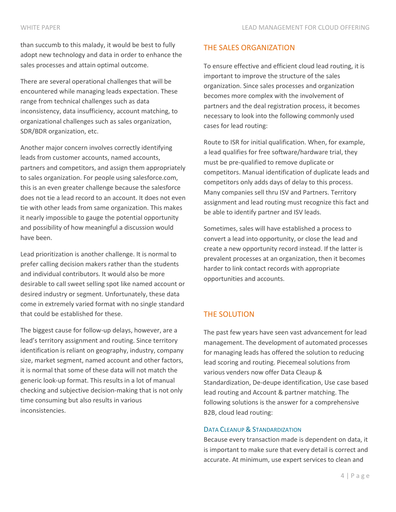than succumb to this malady, it would be best to fully adopt new technology and data in order to enhance the sales processes and attain optimal outcome.

There are several operational challenges that will be encountered while managing leads expectation. These range from technical challenges such as data inconsistency, data insufficiency, account matching, to organizational challenges such as sales organization, SDR/BDR organization, etc.

Another major concern involves correctly identifying leads from customer accounts, named accounts, partners and competitors, and assign them appropriately to sales organization. For people using salesforce.com, this is an even greater challenge because the salesforce does not tie a lead record to an account. It does not even tie with other leads from same organization. This makes it nearly impossible to gauge the potential opportunity and possibility of how meaningful a discussion would have been.

Lead prioritization is another challenge. It is normal to prefer calling decision makers rather than the students and individual contributors. It would also be more desirable to call sweet selling spot like named account or desired industry or segment. Unfortunately, these data come in extremely varied format with no single standard that could be established for these.

The biggest cause for follow-up delays, however, are a lead's territory assignment and routing. Since territory identification is reliant on geography, industry, company size, market segment, named account and other factors, it is normal that some of these data will not match the generic look-up format. This results in a lot of manual checking and subjective decision-making that is not only time consuming but also results in various inconsistencies.

#### THE SALES ORGANIZATION

To ensure effective and efficient cloud lead routing, it is important to improve the structure of the sales organization. Since sales processes and organization becomes more complex with the involvement of partners and the deal registration process, it becomes necessary to look into the following commonly used cases for lead routing:

Route to ISR for initial qualification. When, for example, a lead qualifies for free software/hardware trial, they must be pre-qualified to remove duplicate or competitors. Manual identification of duplicate leads and competitors only adds days of delay to this process. Many companies sell thru ISV and Partners. Territory assignment and lead routing must recognize this fact and be able to identify partner and ISV leads.

Sometimes, sales will have established a process to convert a lead into opportunity, or close the lead and create a new opportunity record instead. If the latter is prevalent processes at an organization, then it becomes harder to link contact records with appropriate opportunities and accounts.

#### THE SOLUTION

The past few years have seen vast advancement for lead management. The development of automated processes for managing leads has offered the solution to reducing lead scoring and routing. Piecemeal solutions from various venders now offer Data Cleaup & Standardization, De-deupe identification, Use case based lead routing and Account & partner matching. The following solutions is the answer for a comprehensive B2B, cloud lead routing:

#### DATA CLEANUP & STANDARDIZATION

Because every transaction made is dependent on data, it is important to make sure that every detail is correct and accurate. At minimum, use expert services to clean and